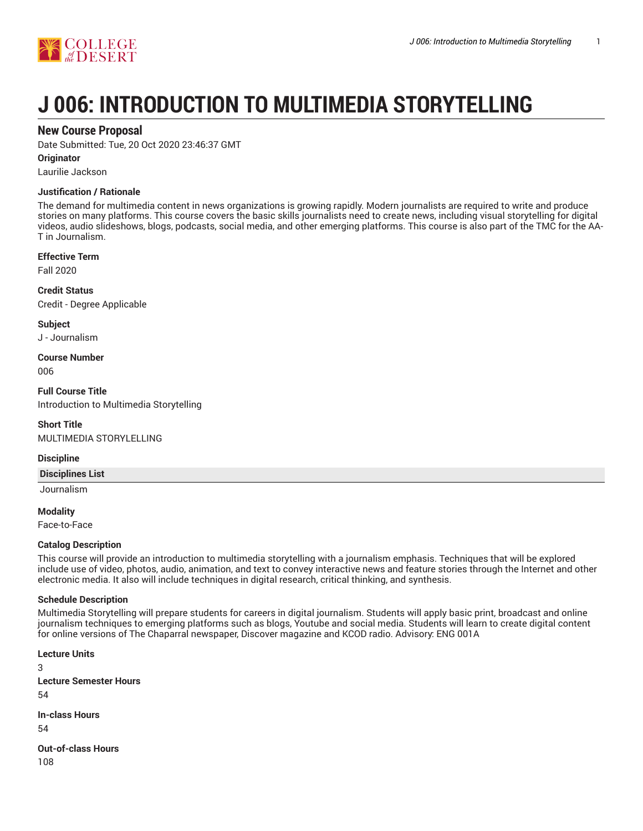

# **J 006: INTRODUCTION TO MULTIMEDIA STORYTELLING**

## **New Course Proposal**

Date Submitted: Tue, 20 Oct 2020 23:46:37 GMT

#### **Originator**

Laurilie Jackson

#### **Justification / Rationale**

The demand for multimedia content in news organizations is growing rapidly. Modern journalists are required to write and produce stories on many platforms. This course covers the basic skills journalists need to create news, including visual storytelling for digital videos, audio slideshows, blogs, podcasts, social media, and other emerging platforms. This course is also part of the TMC for the AA-T in Journalism.

#### **Effective Term**

Fall 2020

**Credit Status** Credit - Degree Applicable

**Subject** J - Journalism

**Course Number** 006

**Full Course Title** Introduction to Multimedia Storytelling

**Short Title** MULTIMEDIA STORYLELLING

#### **Discipline**

**Disciplines List**

Journalism

**Modality** Face-to-Face

## **Catalog Description**

This course will provide an introduction to multimedia storytelling with a journalism emphasis. Techniques that will be explored include use of video, photos, audio, animation, and text to convey interactive news and feature stories through the Internet and other electronic media. It also will include techniques in digital research, critical thinking, and synthesis.

## **Schedule Description**

Multimedia Storytelling will prepare students for careers in digital journalism. Students will apply basic print, broadcast and online journalism techniques to emerging platforms such as blogs, Youtube and social media. Students will learn to create digital content for online versions of The Chaparral newspaper, Discover magazine and KCOD radio. Advisory: ENG 001A

**Lecture Units** 3 **Lecture Semester Hours** 54 **In-class Hours**

54

**Out-of-class Hours** 108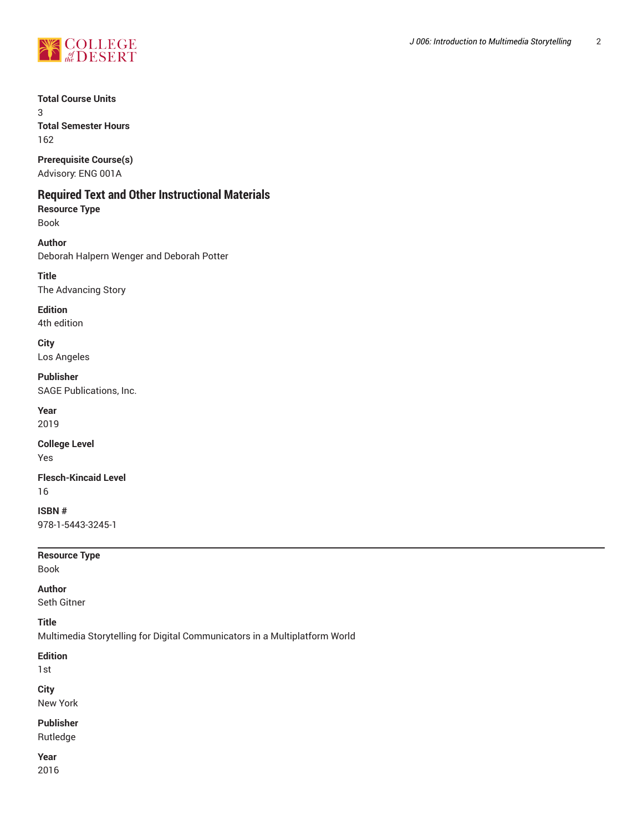

**Total Course Units**

3 **Total Semester Hours** 162

**Prerequisite Course(s)** Advisory: ENG 001A

# **Required Text and Other Instructional Materials**

**Resource Type** Book

**Author** Deborah Halpern Wenger and Deborah Potter

**Title** The Advancing Story

**Edition** 4th edition

**City** Los Angeles

**Publisher**

SAGE Publications, Inc.

**Year** 2019

**College Level** Yes

**Flesch-Kincaid Level** 16

**ISBN #** 978-1-5443-3245-1

**Resource Type**

Book

**Author**

Seth Gitner

**Title**

Multimedia Storytelling for Digital Communicators in a Multiplatform World

**Edition**

1st

**City**

New York

**Publisher**

Rutledge

**Year** 2016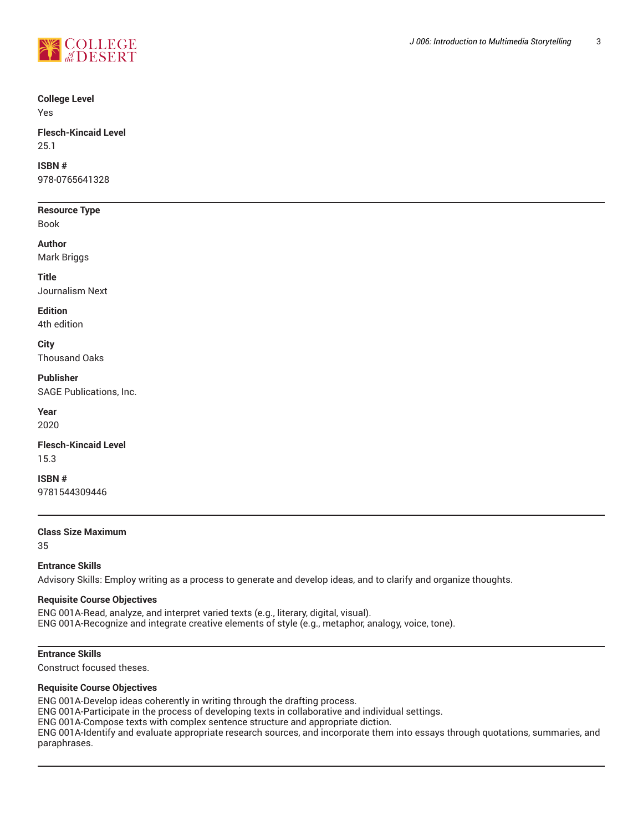

#### **College Level**

Yes

#### **Flesch-Kincaid Level** 25.1

**ISBN #**

978-0765641328

#### **Resource Type**

Book

#### **Author**

Mark Briggs

# **Title**

Journalism Next

## **Edition**

4th edition

## **City**

Thousand Oaks

## **Publisher**

SAGE Publications, Inc.

**Year** 2020

## **Flesch-Kincaid Level** 15.3

**ISBN #**

9781544309446

## **Class Size Maximum**

35

#### **Entrance Skills**

Advisory Skills: Employ writing as a process to generate and develop ideas, and to clarify and organize thoughts.

#### **Requisite Course Objectives**

ENG 001A-Read, analyze, and interpret varied texts (e.g., literary, digital, visual). ENG 001A-Recognize and integrate creative elements of style (e.g., metaphor, analogy, voice, tone).

## **Entrance Skills**

Construct focused theses.

#### **Requisite Course Objectives**

ENG 001A-Develop ideas coherently in writing through the drafting process. ENG 001A-Participate in the process of developing texts in collaborative and individual settings. ENG 001A-Compose texts with complex sentence structure and appropriate diction. ENG 001A-Identify and evaluate appropriate research sources, and incorporate them into essays through quotations, summaries, and paraphrases.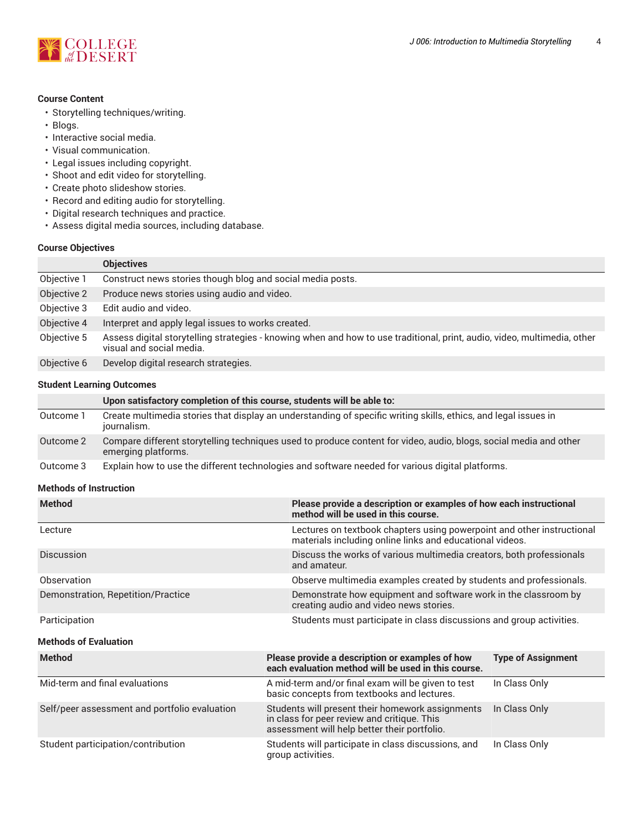

## **Course Content**

- Storytelling techniques/writing.
- Blogs.
- Interactive social media.
- Visual communication.
- Legal issues including copyright.
- Shoot and edit video for storytelling.
- Create photo slideshow stories.
- Record and editing audio for storytelling.
- Digital research techniques and practice.
- Assess digital media sources, including database.

#### **Course Objectives**

|             | <b>Objectives</b>                                                                                                                                    |
|-------------|------------------------------------------------------------------------------------------------------------------------------------------------------|
| Objective 1 | Construct news stories though blog and social media posts.                                                                                           |
| Objective 2 | Produce news stories using audio and video.                                                                                                          |
| Objective 3 | Edit audio and video.                                                                                                                                |
| Objective 4 | Interpret and apply legal issues to works created.                                                                                                   |
| Objective 5 | Assess digital storytelling strategies - knowing when and how to use traditional, print, audio, video, multimedia, other<br>visual and social media. |
| Objective 6 | Develop digital research strategies.                                                                                                                 |

#### **Student Learning Outcomes**

|           | Upon satisfactory completion of this course, students will be able to:                                                                   |
|-----------|------------------------------------------------------------------------------------------------------------------------------------------|
| Outcome 1 | Create multimedia stories that display an understanding of specific writing skills, ethics, and legal issues in<br>journalism.           |
| Outcome 2 | Compare different storytelling techniques used to produce content for video, audio, blogs, social media and other<br>emerging platforms. |
| Outcome 3 | Explain how to use the different technologies and software needed for various digital platforms.                                         |

#### **Methods of Instruction**

| <b>Method</b>                                 | Please provide a description or examples of how each instructional<br>method will be used in this course.                                       |                           |  |  |  |
|-----------------------------------------------|-------------------------------------------------------------------------------------------------------------------------------------------------|---------------------------|--|--|--|
| Lecture                                       | Lectures on textbook chapters using powerpoint and other instructional<br>materials including online links and educational videos.              |                           |  |  |  |
| <b>Discussion</b>                             | Discuss the works of various multimedia creators, both professionals<br>and amateur.                                                            |                           |  |  |  |
| Observation                                   | Observe multimedia examples created by students and professionals.                                                                              |                           |  |  |  |
| Demonstration, Repetition/Practice            | Demonstrate how equipment and software work in the classroom by<br>creating audio and video news stories.                                       |                           |  |  |  |
| Participation                                 | Students must participate in class discussions and group activities.                                                                            |                           |  |  |  |
| <b>Methods of Evaluation</b>                  |                                                                                                                                                 |                           |  |  |  |
| <b>Method</b>                                 | Please provide a description or examples of how<br>each evaluation method will be used in this course.                                          | <b>Type of Assignment</b> |  |  |  |
| Mid-term and final evaluations                | A mid-term and/or final exam will be given to test<br>basic concepts from textbooks and lectures.                                               | In Class Only             |  |  |  |
| Self/peer assessment and portfolio evaluation | Students will present their homework assignments<br>in class for peer review and critique. This<br>assessment will help better their portfolio. | In Class Only             |  |  |  |
| Student participation/contribution            | Students will participate in class discussions, and<br>group activities.                                                                        | In Class Only             |  |  |  |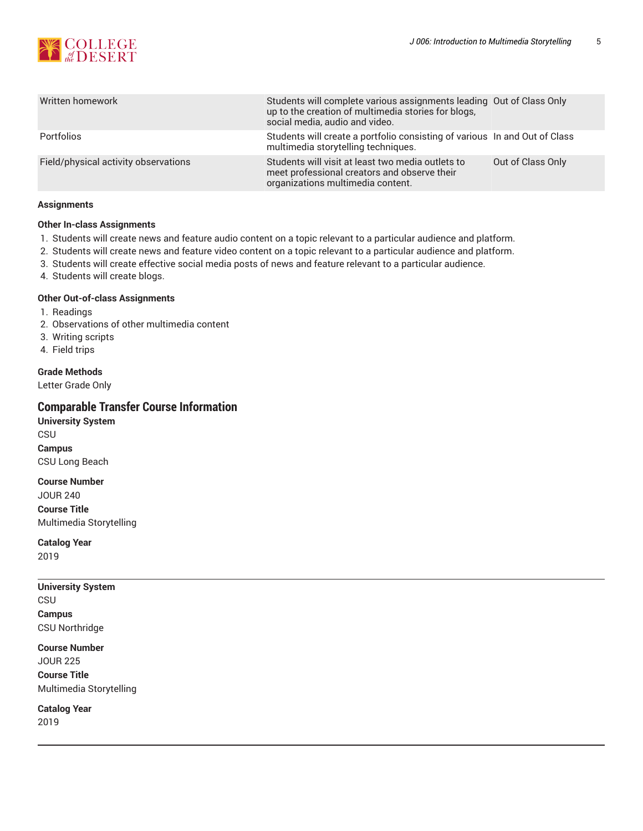

| Written homework                     | Students will complete various assignments leading Out of Class Only<br>up to the creation of multimedia stories for blogs,<br>social media, audio and video. |                   |
|--------------------------------------|---------------------------------------------------------------------------------------------------------------------------------------------------------------|-------------------|
| Portfolios                           | Students will create a portfolio consisting of various In and Out of Class<br>multimedia storytelling techniques.                                             |                   |
| Field/physical activity observations | Students will visit at least two media outlets to<br>meet professional creators and observe their<br>organizations multimedia content.                        | Out of Class Only |

#### **Assignments**

## **Other In-class Assignments**

- 1. Students will create news and feature audio content on a topic relevant to a particular audience and platform.
- 2. Students will create news and feature video content on a topic relevant to a particular audience and platform.
- 3. Students will create effective social media posts of news and feature relevant to a particular audience.
- 4. Students will create blogs.

#### **Other Out-of-class Assignments**

- 1. Readings
- 2. Observations of other multimedia content
- 3. Writing scripts
- 4. Field trips

## **Grade Methods**

Letter Grade Only

## **Comparable Transfer Course Information**

**University System** CSU **Campus** CSU Long Beach

**Course Number** JOUR 240 **Course Title** Multimedia Storytelling

**Catalog Year** 2019

## **University System** CSU **Campus** CSU Northridge

#### **Course Number**

JOUR 225 **Course Title** Multimedia Storytelling

**Catalog Year** 2019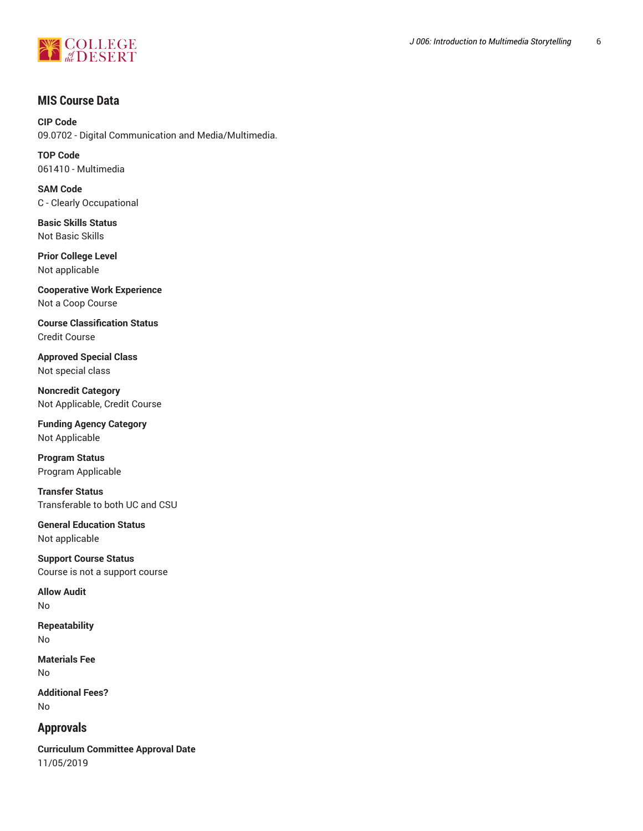

# **MIS Course Data**

**CIP Code** 09.0702 - Digital Communication and Media/Multimedia.

**TOP Code** 061410 - Multimedia

**SAM Code** C - Clearly Occupational

**Basic Skills Status** Not Basic Skills

**Prior College Level** Not applicable

**Cooperative Work Experience** Not a Coop Course

**Course Classification Status** Credit Course

**Approved Special Class** Not special class

**Noncredit Category** Not Applicable, Credit Course

**Funding Agency Category** Not Applicable

**Program Status** Program Applicable

**Transfer Status** Transferable to both UC and CSU

**General Education Status** Not applicable

**Support Course Status** Course is not a support course

**Allow Audit** No

**Repeatability** No

**Materials Fee** No

**Additional Fees?** No

**Approvals**

**Curriculum Committee Approval Date** 11/05/2019